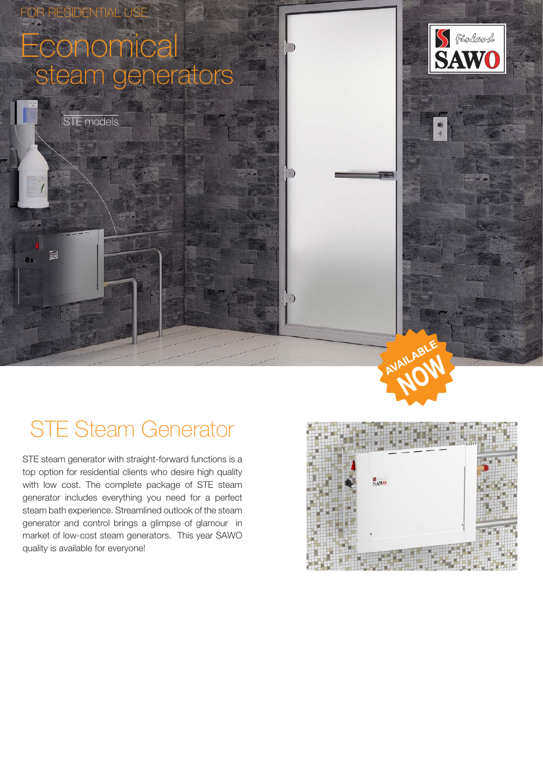

# STE Steam Generator

STE steam generator with straight-forward functions is a top option for residential clients who desire high quality with low cost. The complete package of STE steam generator includes everything you need for a perfect steam bath experience. Streamlined outlook of the steam generator and control brings a glimpse of glamour in market of low-cost steam generators. This year SAWO quality is available for everyone!